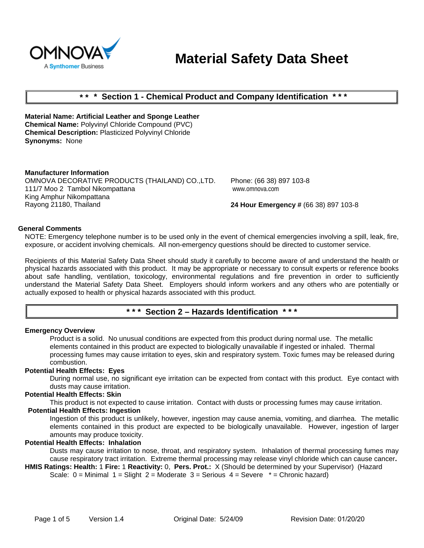

# **Material Safety Data Sheet**

# **\* \* \* Section 1 - Chemical Product and Company Identification \* \* \***

**Material Name: Artificial Leather and Sponge Leather Chemical Name:** Polyvinyl Chloride Compound (PVC) **Chemical Description:** Plasticized Polyvinyl Chloride **Synonyms:** None

#### **Manufacturer Information**

OMNOVA DECORATIVE PRODUCTS (THAILAND) CO.,LTD. 111/7 Moo 2 Tambol Nikompattana King Amphur Nikompattana Rayong 21180, Thailand

Phone: (66 38) 897 103-8 www.omnova.com

**24 Hour Emergency #** (66 38) 897 103-8

#### **General Comments**

NOTE: Emergency telephone number is to be used only in the event of chemical emergencies involving a spill, leak, fire, exposure, or accident involving chemicals. All non-emergency questions should be directed to customer service.

Recipients of this Material Safety Data Sheet should study it carefully to become aware of and understand the health or physical hazards associated with this product. It may be appropriate or necessary to consult experts or reference books about safe handling, ventilation, toxicology, environmental regulations and fire prevention in order to sufficiently understand the Material Safety Data Sheet. Employers should inform workers and any others who are potentially or actually exposed to health or physical hazards associated with this product.

# **\* \* \* Section 2 – Hazards Identification \* \* \***

#### **Emergency Overview**

Product is a solid. No unusual conditions are expected from this product during normal use. The metallic elements contained in this product are expected to biologically unavailable if ingested or inhaled. Thermal processing fumes may cause irritation to eyes, skin and respiratory system. Toxic fumes may be released during combustion.

#### **Potential Health Effects: Eyes**

During normal use, no significant eye irritation can be expected from contact with this product. Eye contact with dusts may cause irritation.

#### **Potential Health Effects: Skin**

This product is not expected to cause irritation. Contact with dusts or processing fumes may cause irritation.

#### **Potential Health Effects: Ingestion**

Ingestion of this product is unlikely, however, ingestion may cause anemia, vomiting, and diarrhea. The metallic elements contained in this product are expected to be biologically unavailable. However, ingestion of larger amounts may produce toxicity.

## **Potential Health Effects: Inhalation**

Dusts may cause irritation to nose, throat, and respiratory system. Inhalation of thermal processing fumes may cause respiratory tract irritation. Extreme thermal processing may release vinyl chloride which can cause cancer**.** 

**HMIS Ratings: Health:** 1 **Fire:** 1 **Reactivity:** 0, **Pers. Prot.:** X (Should be determined by your Supervisor) (Hazard Scale:  $0 =$  Minimal  $1 =$  Slight  $2 =$  Moderate  $3 =$  Serious  $4 =$  Severe  $* =$  Chronic hazard)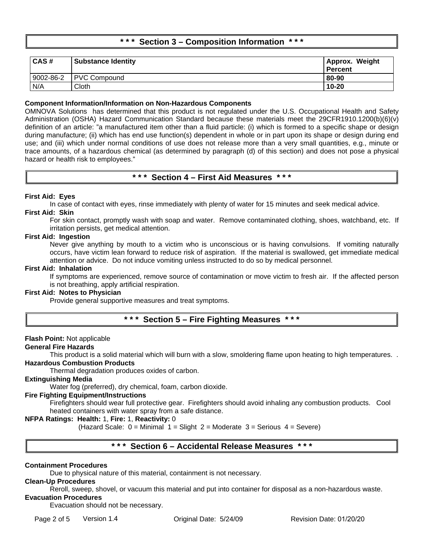# **\* \* \* Section 3 – Composition Information \* \* \***

| CAS#      | <b>Substance Identity</b> | Approx. Weight<br><b>Percent</b> |
|-----------|---------------------------|----------------------------------|
| 9002-86-2 | <b>PVC Compound</b>       | 80-90                            |
| N/A       | Cloth                     | $10 - 20$                        |

### **Component Information/Information on Non-Hazardous Components**

OMNOVA Solutions has determined that this product is not regulated under the U.S. Occupational Health and Safety Administration (OSHA) Hazard Communication Standard because these materials meet the 29CFR1910.1200(b)(6)(v) definition of an article: "a manufactured item other than a fluid particle: (i) which is formed to a specific shape or design during manufacture; (ii) which has end use function(s) dependent in whole or in part upon its shape or design during end use; and (iii) which under normal conditions of use does not release more than a very small quantities, e.g., minute or trace amounts, of a hazardous chemical (as determined by paragraph (d) of this section) and does not pose a physical hazard or health risk to employees."

# **\* \* \* Section 4 – First Aid Measures \* \* \***

## **First Aid: Eyes**

In case of contact with eyes, rinse immediately with plenty of water for 15 minutes and seek medical advice.

# **First Aid: Skin**

For skin contact, promptly wash with soap and water. Remove contaminated clothing, shoes, watchband, etc. If irritation persists, get medical attention.

#### **First Aid: Ingestion**

Never give anything by mouth to a victim who is unconscious or is having convulsions. If vomiting naturally occurs, have victim lean forward to reduce risk of aspiration. If the material is swallowed, get immediate medical attention or advice. Do not induce vomiting unless instructed to do so by medical personnel.

#### **First Aid: Inhalation**

If symptoms are experienced, remove source of contamination or move victim to fresh air. If the affected person is not breathing, apply artificial respiration.

# **First Aid: Notes to Physician**

Provide general supportive measures and treat symptoms.

# **\* \* \* Section 5 – Fire Fighting Measures \* \* \***

#### **Flash Point:** Not applicable

#### **General Fire Hazards**

This product is a solid material which will burn with a slow, smoldering flame upon heating to high temperatures. . **Hazardous Combustion Products**

Thermal degradation produces oxides of carbon.

#### **Extinguishing Media**

Water fog (preferred), dry chemical, foam, carbon dioxide.

#### **Fire Fighting Equipment/Instructions**

Firefighters should wear full protective gear. Firefighters should avoid inhaling any combustion products. Cool heated containers with water spray from a safe distance.

## **NFPA Ratings: Health:** 1, **Fire:** 1, **Reactivity:** 0

(Hazard Scale:  $0 =$  Minimal  $1 =$  Slight  $2 =$  Moderate  $3 =$  Serious  $4 =$  Severe)

# **\* \* \* Section 6 – Accidental Release Measures \* \* \***

#### **Containment Procedures**

Due to physical nature of this material, containment is not necessary.

#### **Clean-Up Procedures**

Reroll, sweep, shovel, or vacuum this material and put into container for disposal as a non-hazardous waste.

# **Evacuation Procedures**

Evacuation should not be necessary.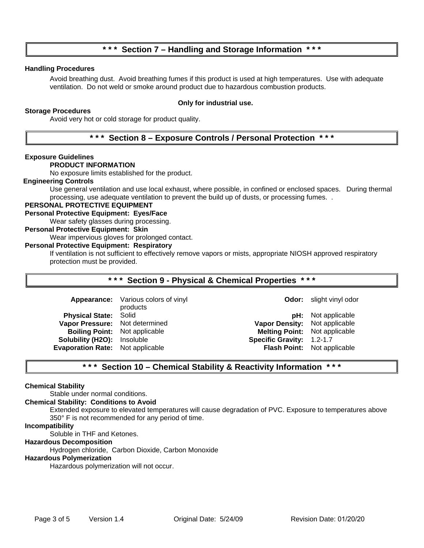# **\* \* \* Section 7 – Handling and Storage Information \* \* \***

# **Handling Procedures**

Avoid breathing dust. Avoid breathing fumes if this product is used at high temperatures. Use with adequate ventilation. Do not weld or smoke around product due to hazardous combustion products.

## **Storage Procedures**

# **Only for industrial use.**

Avoid very hot or cold storage for product quality.

# **\* \* \* Section 8 – Exposure Controls / Personal Protection \* \* \***

#### **Exposure Guidelines**

#### **PRODUCT INFORMATION**

No exposure limits established for the product.

#### **Engineering Controls**

Use general ventilation and use local exhaust, where possible, in confined or enclosed spaces. During thermal processing, use adequate ventilation to prevent the build up of dusts, or processing fumes. .

## **PERSONAL PROTECTIVE EQUIPMENT**

## **Personal Protective Equipment: Eyes/Face**

Wear safety glasses during processing.

## **Personal Protective Equipment: Skin**

Wear impervious gloves for prolonged contact.

#### **Personal Protective Equipment: Respiratory**

If ventilation is not sufficient to effectively remove vapors or mists, appropriate NIOSH approved respiratory protection must be provided.

## **\* \* \* Section 9 - Physical & Chemical Properties \* \* \***

|                                         | Appearance: Various colors of vinyl |                                      | <b>Odor:</b> slight vinyl odor     |
|-----------------------------------------|-------------------------------------|--------------------------------------|------------------------------------|
|                                         | products                            |                                      |                                    |
| <b>Physical State: Solid</b>            |                                     |                                      | <b>pH:</b> Not applicable          |
| Vapor Pressure: Not determined          |                                     | Vapor Density: Not applicable        |                                    |
| <b>Boiling Point:</b> Not applicable    |                                     | <b>Melting Point:</b> Not applicable |                                    |
| Solubility (H2O): Insoluble             |                                     | Specific Gravity: 1.2-1.7            |                                    |
| <b>Evaporation Rate:</b> Not applicable |                                     |                                      | <b>Flash Point:</b> Not applicable |
|                                         |                                     |                                      |                                    |

# **\* \* \* Section 10 – Chemical Stability & Reactivity Information \* \* \***

#### **Chemical Stability**

Stable under normal conditions.

#### **Chemical Stability: Conditions to Avoid**

Extended exposure to elevated temperatures will cause degradation of PVC. Exposure to temperatures above 350° F is not recommended for any period of time.

#### **Incompatibility**

Soluble in THF and Ketones.

#### **Hazardous Decomposition**

Hydrogen chloride, Carbon Dioxide, Carbon Monoxide

#### **Hazardous Polymerization**

Hazardous polymerization will not occur.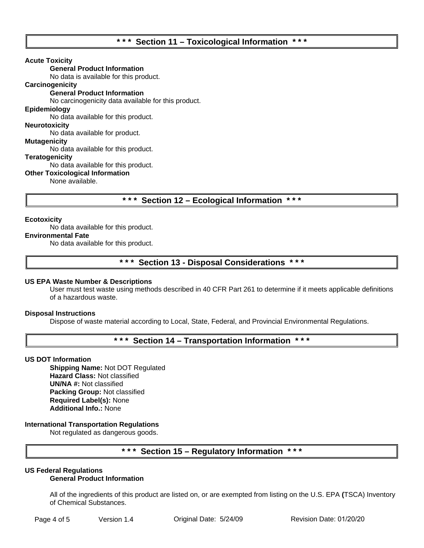# **\* \* \* Section 11 – Toxicological Information \* \* \***

#### **Acute Toxicity**

**General Product Information**

No data is available for this product.

# **Carcinogenicity**

## **General Product Information**

No carcinogenicity data available for this product.

#### **Epidemiology**

No data available for this product.

# **Neurotoxicity**

No data available for product.

## **Mutagenicity**

No data available for this product.

#### **Teratogenicity**

No data available for this product.

#### **Other Toxicological Information**

None available.

**\* \* \* Section 12 – Ecological Information \* \* \***

#### **Ecotoxicity**

# No data available for this product.

#### **Environmental Fate**

No data available for this product.

# **\* \* \* Section 13 - Disposal Considerations \* \* \***

#### **US EPA Waste Number & Descriptions**

User must test waste using methods described in 40 CFR Part 261 to determine if it meets applicable definitions of a hazardous waste.

#### **Disposal Instructions**

Dispose of waste material according to Local, State, Federal, and Provincial Environmental Regulations.

# **\* \* \* Section 14 – Transportation Information \* \* \***

#### **US DOT Information**

**Shipping Name:** Not DOT Regulated **Hazard Class:** Not classified **UN/NA #:** Not classified **Packing Group:** Not classified **Required Label(s):** None **Additional Info.:** None

## **International Transportation Regulations**

Not regulated as dangerous goods.

# **\* \* \* Section 15 – Regulatory Information \* \* \***

#### **US Federal Regulations General Product Information**

All of the ingredients of this product are listed on, or are exempted from listing on the U.S. EPA **(**TSCA) Inventory of Chemical Substances.